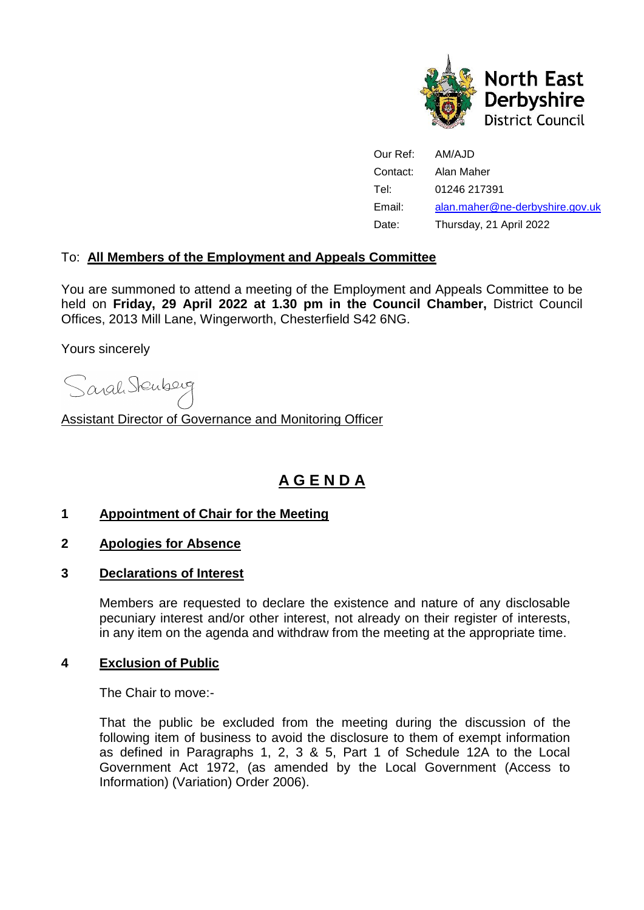

| Our Ref: | AM/AJD                          |
|----------|---------------------------------|
| Contact: | Alan Maher                      |
| Tel:     | 01246 217391                    |
| Email:   | alan.maher@ne-derbyshire.gov.uk |
| Date:    | Thursday, 21 April 2022         |

### To: **All Members of the Employment and Appeals Committee**

You are summoned to attend a meeting of the Employment and Appeals Committee to be held on **Friday, 29 April 2022 at 1.30 pm in the Council Chamber,** District Council Offices, 2013 Mill Lane, Wingerworth, Chesterfield S42 6NG.

Yours sincerely

Sarah Stenberg

Assistant Director of Governance and Monitoring Officer

# **A G E N D A**

#### **1 Appointment of Chair for the Meeting**

- **2 Apologies for Absence**
- **3 Declarations of Interest**

Members are requested to declare the existence and nature of any disclosable pecuniary interest and/or other interest, not already on their register of interests, in any item on the agenda and withdraw from the meeting at the appropriate time.

#### **4 Exclusion of Public**

The Chair to move:-

That the public be excluded from the meeting during the discussion of the following item of business to avoid the disclosure to them of exempt information as defined in Paragraphs 1, 2, 3 & 5, Part 1 of Schedule 12A to the Local Government Act 1972, (as amended by the Local Government (Access to Information) (Variation) Order 2006).